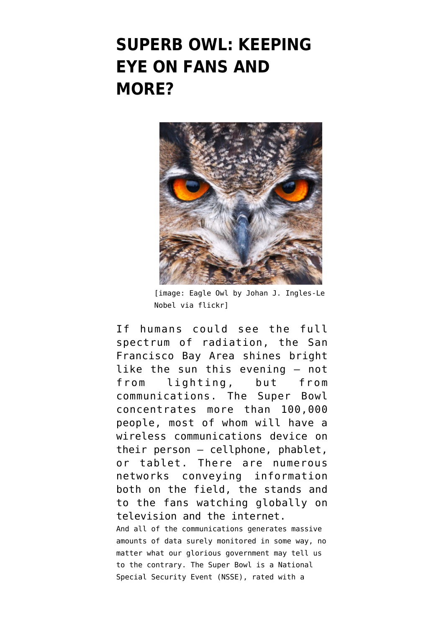## **[SUPERB OWL: KEEPING](https://www.emptywheel.net/2016/02/07/superb-owl-keeping-eye-on-fans-and-more/) [EYE ON FANS AND](https://www.emptywheel.net/2016/02/07/superb-owl-keeping-eye-on-fans-and-more/) [MORE?](https://www.emptywheel.net/2016/02/07/superb-owl-keeping-eye-on-fans-and-more/)**



[image: Eagle Owl by [Johan J. Ingles-Le](https://flic.kr/p/8ukxtg) [Nobel via flickr\]](https://flic.kr/p/8ukxtg)

If humans could see the full spectrum of radiation, the San Francisco Bay Area shines bright like the sun this evening — not from lighting, but from communications. The Super Bowl concentrates more than 100,000 people, most of whom will have a wireless communications device on their person — cellphone, phablet, or tablet. There are numerous networks conveying information both on the field, the stands and to the fans watching globally on television and the internet. And all of the communications generates massive amounts of data surely monitored in some way, no matter what our glorious government may tell us to the contrary. The Super Bowl is a National Special Security Event (NSSE), rated with a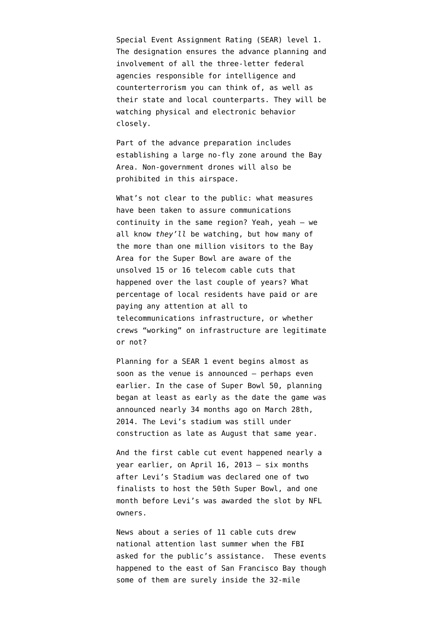Special Event Assignment Rating (SEAR) level 1. The designation ensures the advance planning and involvement of all the three-letter federal agencies responsible for intelligence and counterterrorism you can think of, as well as their state and local counterparts. They will be [watching physical and electronic behavior](http://www.wired.com/2016/01/govs-plan-keep-super-bowl-safe-massive-surveillance/) [closely.](http://www.wired.com/2016/01/govs-plan-keep-super-bowl-safe-massive-surveillance/)

Part of the advance preparation includes establishing a [large no-fly zone around the Bay](http://www.latimes.com/local/lanow/la-me-ln-super-bowl-no-drone-zone-20160203-story.html) [Area](http://www.latimes.com/local/lanow/la-me-ln-super-bowl-no-drone-zone-20160203-story.html). Non-government drones will also be prohibited in this airspace.

What's not clear to the public: what measures have been taken to assure communications continuity in the same region? Yeah, yeah — we all know *they'll* be watching, but how many of the more than one million visitors to the Bay Area for the Super Bowl are aware of the unsolved 15 or 16 telecom cable cuts that happened over the last couple of years? What percentage of local residents have paid or are paying any attention at all to telecommunications infrastructure, or whether crews "working" on infrastructure are legitimate or not?

[Planning for a SEAR 1 event](http://www.policechiefmagazine.org/magazine/index.cfm?fuseaction=display_arch&article_id=1347&issue_id=122007) begins almost as soon as the venue is announced — perhaps even earlier. In the case of Super Bowl 50, planning began at least as early as [the date the game was](http://abc7news.com/archive/9483714/) [announced](http://abc7news.com/archive/9483714/) nearly 34 months ago on March 28th, 2014. The Levi's stadium was still under construction as late as August that same year.

And the first cable cut event [happened nearly a](https://web.archive.org/web/20131230235039/http://www.foreignpolicy.com/posts/2013/12/24/power-station-military-assault#sthash.wXdzsJdR.dpbs) [year earlier,](https://web.archive.org/web/20131230235039/http://www.foreignpolicy.com/posts/2013/12/24/power-station-military-assault#sthash.wXdzsJdR.dpbs) on April 16, 2013 — six months after Levi's Stadium was declared [one of two](http://blog.sfgate.com/cityinsider/2012/10/16/san-francisco-a-finalist-to-host-2016-or-2017-super-bowl/) [finalists](http://blog.sfgate.com/cityinsider/2012/10/16/san-francisco-a-finalist-to-host-2016-or-2017-super-bowl/) to host the 50th Super Bowl, and one month before Levi's was [awarded the slot](http://www.nfl.com/news/story/0ap1000000205086/article/san-francisco-awarded-super-bowl-l-houston-lands-li) by NFL owners.

News about [a series of 11 cable cuts](https://www.emptywheel.net/2015/07/03/to-talk-of-many-things-of-vandals-and-cuts-and-cables-and-pings/) drew national attention last summer when the FBI asked for the public's assistance. These events happened to the east of San Francisco Bay though some of them are surely inside the 32-mile